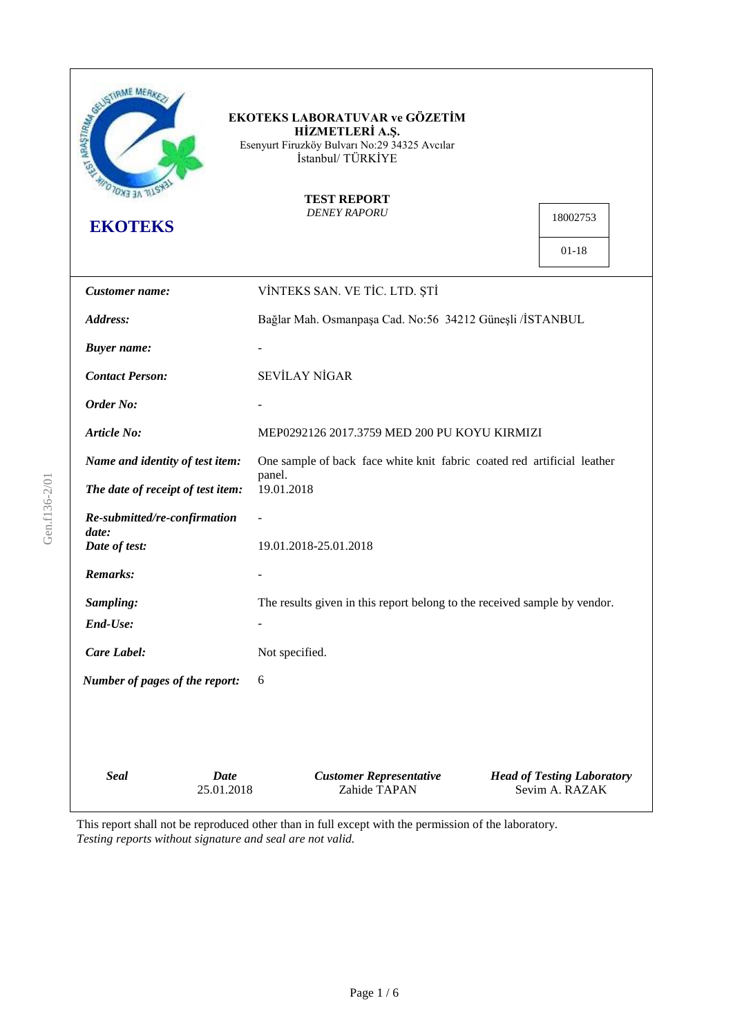| VİNTEKS SAN. VE TİC. LTD. ŞTİ                                                                   |                                                                                                                                                        |
|-------------------------------------------------------------------------------------------------|--------------------------------------------------------------------------------------------------------------------------------------------------------|
|                                                                                                 |                                                                                                                                                        |
| Bağlar Mah. Osmanpaşa Cad. No:56 34212 Güneşli /İSTANBUL                                        |                                                                                                                                                        |
|                                                                                                 |                                                                                                                                                        |
| <b>SEVİLAY NİGAR</b>                                                                            |                                                                                                                                                        |
|                                                                                                 |                                                                                                                                                        |
| MEP0292126 2017.3759 MED 200 PU KOYU KIRMIZI                                                    |                                                                                                                                                        |
| One sample of back face white knit fabric coated red artificial leather<br>panel.<br>19.01.2018 |                                                                                                                                                        |
|                                                                                                 |                                                                                                                                                        |
|                                                                                                 |                                                                                                                                                        |
|                                                                                                 |                                                                                                                                                        |
|                                                                                                 |                                                                                                                                                        |
|                                                                                                 |                                                                                                                                                        |
|                                                                                                 |                                                                                                                                                        |
|                                                                                                 |                                                                                                                                                        |
|                                                                                                 | <b>Head of Testing Laboratory</b>                                                                                                                      |
|                                                                                                 | 19.01.2018-25.01.2018<br>The results given in this report belong to the received sample by vendor.<br>Not specified.<br><b>Customer Representative</b> |

This report shall not be reproduced other than in full except with the permission of the laboratory. *Testing reports without signature and seal are not valid.*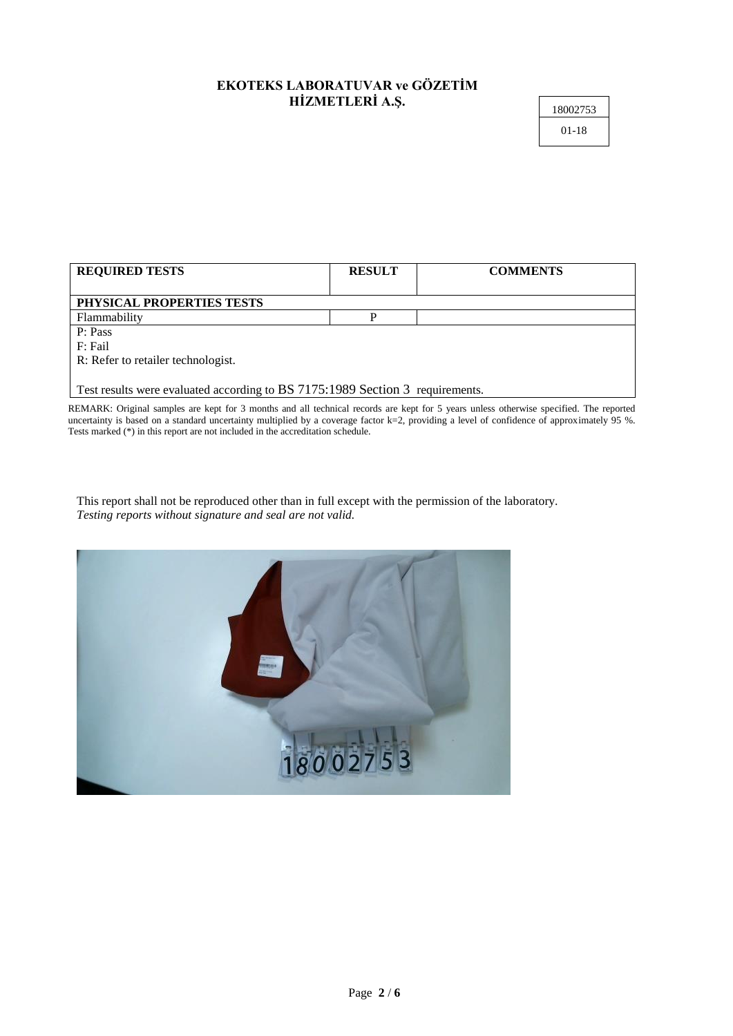| 18002753 |  |
|----------|--|
| 01-18    |  |

| <b>REQUIRED TESTS</b>                                                         | <b>RESULT</b> | <b>COMMENTS</b> |
|-------------------------------------------------------------------------------|---------------|-----------------|
|                                                                               |               |                 |
| PHYSICAL PROPERTIES TESTS                                                     |               |                 |
| Flammability                                                                  | D             |                 |
| P: Pass                                                                       |               |                 |
| F: Fail                                                                       |               |                 |
| R: Refer to retailer technologist.                                            |               |                 |
|                                                                               |               |                 |
| Test results were evaluated according to BS 7175:1989 Section 3 requirements. |               |                 |

REMARK: Original samples are kept for 3 months and all technical records are kept for 5 years unless otherwise specified. The reported uncertainty is based on a standard uncertainty multiplied by a coverage factor k=2, providing a level of confidence of approximately 95 %. Tests marked (\*) in this report are not included in the accreditation schedule.

This report shall not be reproduced other than in full except with the permission of the laboratory. *Testing reports without signature and seal are not valid.*

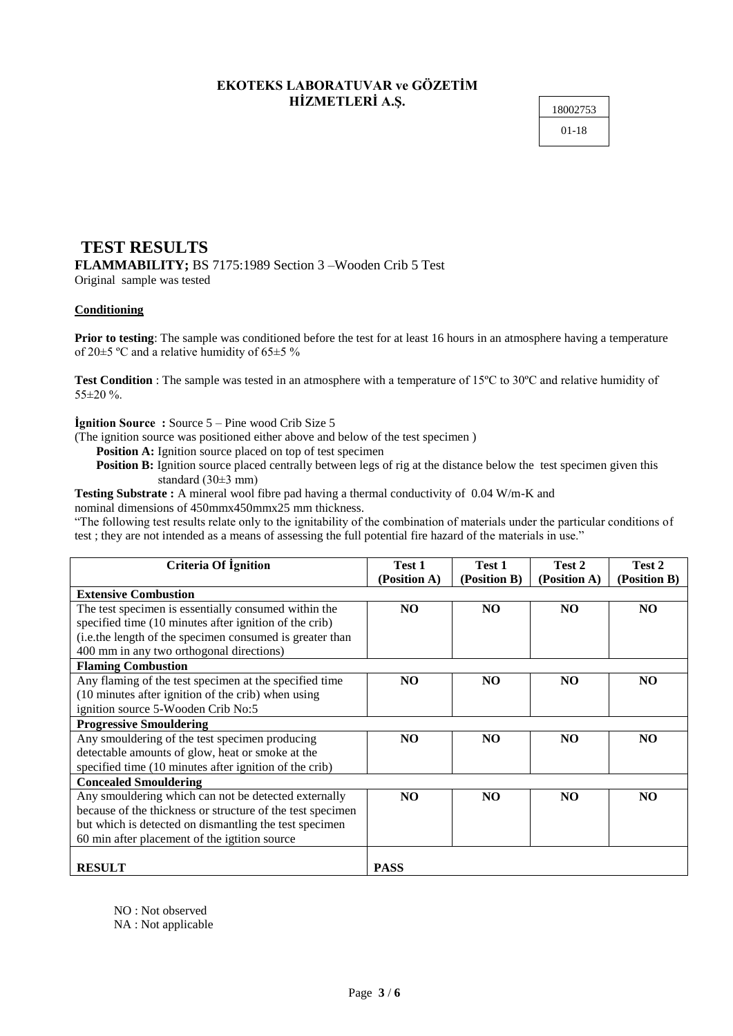18002753 01-18

### **TEST RESULTS**

**FLAMMABILITY;** BS 7175:1989 Section 3 –Wooden Crib 5 Test Original sample was tested

#### **Conditioning**

**Prior to testing**: The sample was conditioned before the test for at least 16 hours in an atmosphere having a temperature of 20 $\pm$ 5 °C and a relative humidity of 65 $\pm$ 5 %

**Test Condition** : The sample was tested in an atmosphere with a temperature of 15ºC to 30ºC and relative humidity of 55±20 %.

**İgnition Source :** Source 5 – Pine wood Crib Size 5

(The ignition source was positioned either above and below of the test specimen )

**Position A:** Ignition source placed on top of test specimen

**Position B:** Ignition source placed centrally between legs of rig at the distance below the test specimen given this standard (30±3 mm)

**Testing Substrate :** A mineral wool fibre pad having a thermal conductivity of 0.04 W/m-K and nominal dimensions of 450mmx450mmx25 mm thickness.

"The following test results relate only to the ignitability of the combination of materials under the particular conditions of test ; they are not intended as a means of assessing the full potential fire hazard of the materials in use."

| <b>Criteria Of Ignition</b>                                | Test 1       | Test 1       | Test 2       | Test 2         |
|------------------------------------------------------------|--------------|--------------|--------------|----------------|
|                                                            | (Position A) | (Position B) | (Position A) | (Position B)   |
| <b>Extensive Combustion</b>                                |              |              |              |                |
| The test specimen is essentially consumed within the       | NO.          | NO.          | NO.          | NO.            |
| specified time (10 minutes after ignition of the crib)     |              |              |              |                |
| (i.e.the length of the specimen consumed is greater than   |              |              |              |                |
| 400 mm in any two orthogonal directions)                   |              |              |              |                |
| <b>Flaming Combustion</b>                                  |              |              |              |                |
| Any flaming of the test specimen at the specified time     | NO.          | NO.          | NO.          | N <sub>O</sub> |
| (10 minutes after ignition of the crib) when using         |              |              |              |                |
| ignition source 5-Wooden Crib No:5                         |              |              |              |                |
| <b>Progressive Smouldering</b>                             |              |              |              |                |
| Any smouldering of the test specimen producing             | NO.          | NO.          | NO.          | NO.            |
| detectable amounts of glow, heat or smoke at the           |              |              |              |                |
| specified time (10 minutes after ignition of the crib)     |              |              |              |                |
| <b>Concealed Smouldering</b>                               |              |              |              |                |
| Any smouldering which can not be detected externally       | NO.          | NO.          | NO.          | NO.            |
| because of the thickness or structure of the test specimen |              |              |              |                |
| but which is detected on dismantling the test specimen     |              |              |              |                |
| 60 min after placement of the igtition source              |              |              |              |                |
|                                                            |              |              |              |                |
| <b>RESULT</b>                                              | <b>PASS</b>  |              |              |                |

NO : Not observed

NA : Not applicable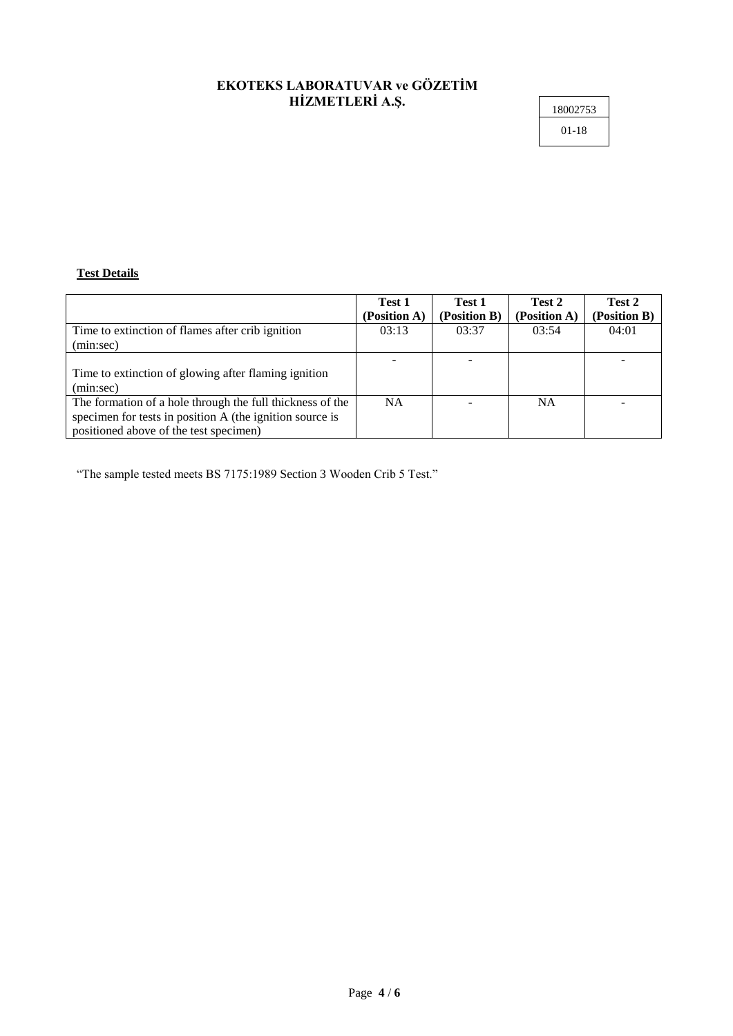| 18002753 |  |
|----------|--|
| 01-18    |  |
|          |  |

#### **Test Details**

|                                                                                                                                                                 | Test 1<br>(Position A) | Test 1<br>(Position B) | Test 2<br>(Position A) | Test 2<br>(Position B) |
|-----------------------------------------------------------------------------------------------------------------------------------------------------------------|------------------------|------------------------|------------------------|------------------------|
| Time to extinction of flames after crib ignition<br>(min:sec)                                                                                                   | 03:13                  | 03:37                  | 03:54                  | 04:01                  |
| Time to extinction of glowing after flaming ignition<br>(min:sec)                                                                                               |                        |                        |                        |                        |
| The formation of a hole through the full thickness of the<br>specimen for tests in position A (the ignition source is<br>positioned above of the test specimen) | <b>NA</b>              |                        | <b>NA</b>              |                        |

"The sample tested meets BS 7175:1989 Section 3 Wooden Crib 5 Test."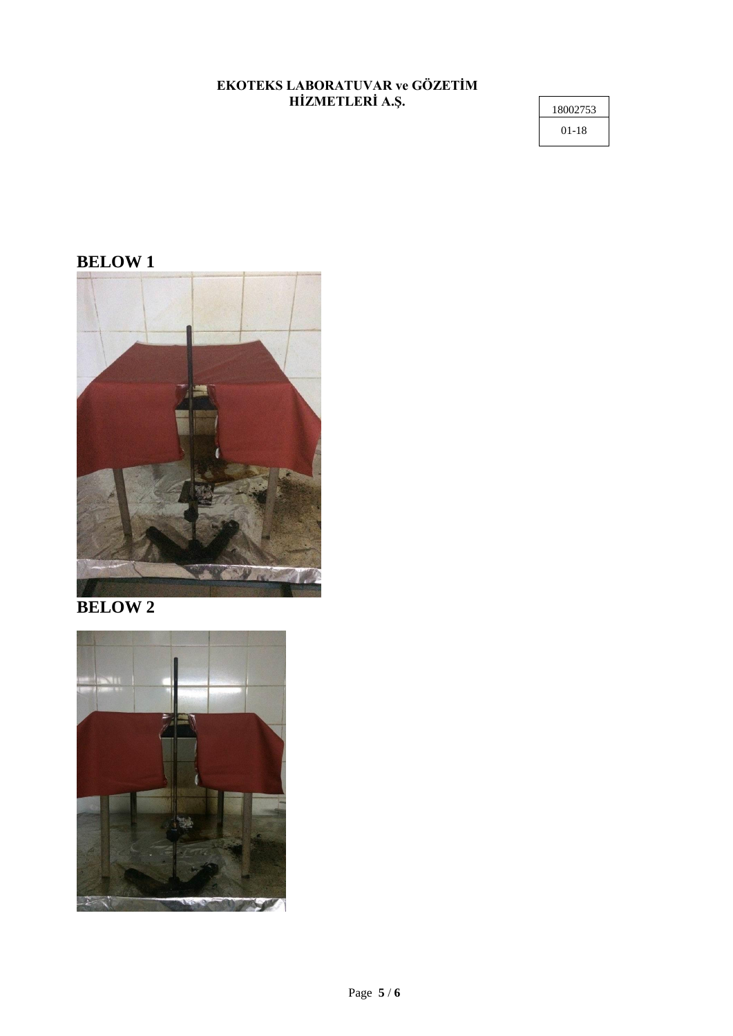| 18002753 |  |
|----------|--|
|          |  |
|          |  |
|          |  |
| 01-18    |  |
|          |  |

## **BELOW 1**



## **BELOW 2**